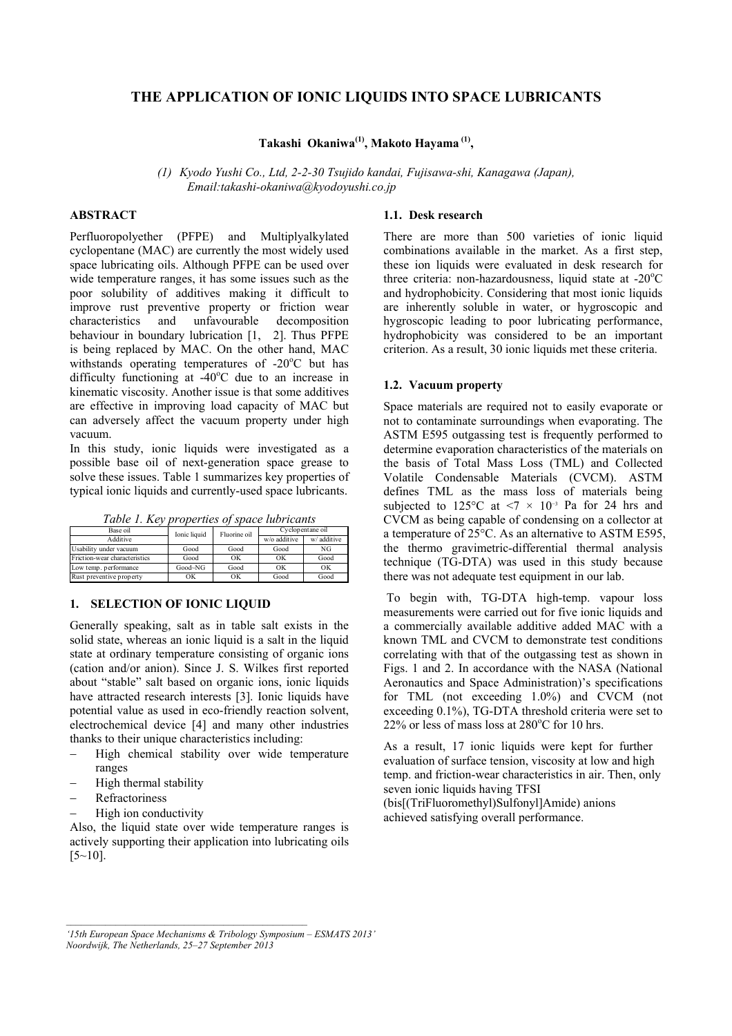# **THE APPLICATION OF IONIC LIQUIDS INTO SPACE LUBRICANTS**

**Takashi Okaniwa(1), Makoto Hayama (1),** 

*(1) Kyodo Yushi Co., Ltd, 2-2-30 Tsujido kandai, Fujisawa-shi, Kanagawa (Japan), Email:takashi-okaniwa@kyodoyushi.co.jp* 

# **ABSTRACT**

Perfluoropolyether (PFPE) and Multiplyalkylated cyclopentane (MAC) are currently the most widely used space lubricating oils. Although PFPE can be used over wide temperature ranges, it has some issues such as the poor solubility of additives making it difficult to improve rust preventive property or friction wear characteristics and unfavourable decomposition behaviour in boundary lubrication [1, 2]. Thus PFPE is being replaced by MAC. On the other hand, MAC withstands operating temperatures of -20°C but has difficulty functioning at  $-40^{\circ}$ C due to an increase in kinematic viscosity. Another issue is that some additives are effective in improving load capacity of MAC but can adversely affect the vacuum property under high vacuum.

In this study, ionic liquids were investigated as a possible base oil of next-generation space grease to solve these issues. Table 1 summarizes key properties of typical ionic liquids and currently-used space lubricants.

|  |  |  |  |  |  | Table 1. Key properties of space lubricants |  |
|--|--|--|--|--|--|---------------------------------------------|--|
|--|--|--|--|--|--|---------------------------------------------|--|

| Base oil                      | Ionic liquid | Fluorine oil | Cyclopentane oil |            |
|-------------------------------|--------------|--------------|------------------|------------|
| Additive                      |              |              | w/o additive     | w/additive |
| Usability under vacuum        | Good         | Good         | Good             | NG         |
| Friction-wear characteristics | Good         | OK           | OK               | Good       |
| Low temp. performance         | Good~NG      | Good         | OK               | OK         |
| Rust preventive property      | OK           | OK           | Good             | Good       |

## **1. SELECTION OF IONIC LIQUID**

Generally speaking, salt as in table salt exists in the solid state, whereas an ionic liquid is a salt in the liquid state at ordinary temperature consisting of organic ions (cation and/or anion). Since J. S. Wilkes first reported about "stable" salt based on organic ions, ionic liquids have attracted research interests [3]. Ionic liquids have potential value as used in eco-friendly reaction solvent, electrochemical device [4] and many other industries thanks to their unique characteristics including:

- High chemical stability over wide temperature ranges
- High thermal stability
- − Refractoriness
- High ion conductivity

Also, the liquid state over wide temperature ranges is actively supporting their application into lubricating oils  $[5~10]$ .

## **1.1. Desk research**

There are more than 500 varieties of ionic liquid combinations available in the market. As a first step, these ion liquids were evaluated in desk research for three criteria: non-hazardousness, liquid state at  $-20^{\circ}$ C and hydrophobicity. Considering that most ionic liquids are inherently soluble in water, or hygroscopic and hygroscopic leading to poor lubricating performance, hydrophobicity was considered to be an important criterion. As a result, 30 ionic liquids met these criteria.

### **1.2. Vacuum property**

Space materials are required not to easily evaporate or not to contaminate surroundings when evaporating. The ASTM E595 outgassing test is frequently performed to determine evaporation characteristics of the materials on the basis of Total Mass Loss (TML) and Collected Volatile Condensable Materials (CVCM). ASTM defines TML as the mass loss of materials being subjected to 125 $\degree$ C at <7 × 10<sup>-3</sup> Pa for 24 hrs and CVCM as being capable of condensing on a collector at a temperature of 25°C. As an alternative to ASTM E595, the thermo gravimetric-differential thermal analysis technique (TG-DTA) was used in this study because there was not adequate test equipment in our lab.

 To begin with, TG-DTA high-temp. vapour loss measurements were carried out for five ionic liquids and a commercially available additive added MAC with a known TML and CVCM to demonstrate test conditions correlating with that of the outgassing test as shown in Figs. 1 and 2. In accordance with the NASA (National Aeronautics and Space Administration)'s specifications for TML (not exceeding 1.0%) and CVCM (not exceeding 0.1%), TG-DTA threshold criteria were set to 22% or less of mass loss at 280°C for 10 hrs.

As a result, 17 ionic liquids were kept for further evaluation of surface tension, viscosity at low and high temp. and friction-wear characteristics in air. Then, only seven ionic liquids having TFSI (bis[(TriFluoromethyl)Sulfonyl]Amide) anions

achieved satisfying overall performance.

*<sup>&#</sup>x27;15th European Space Mechanisms & Tribology Symposium – ESMATS 2013' Noordwijk, The Netherlands, 25–27 September 2013*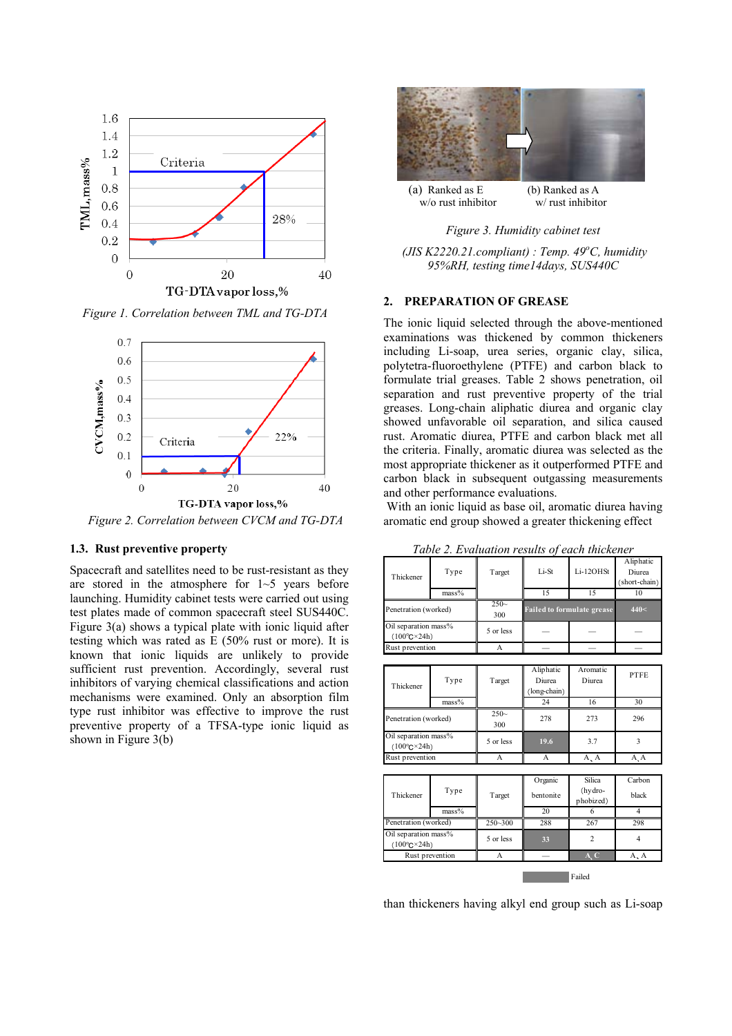

*Figure 1. Correlation between TML and TG-DTA* 



*Figure 2. Correlation between CVCM and TG-DTA*

#### **1.3. Rust preventive property**

Spacecraft and satellites need to be rust-resistant as they are stored in the atmosphere for 1~5 years before launching. Humidity cabinet tests were carried out using test plates made of common spacecraft steel SUS440C. Figure 3(a) shows a typical plate with ionic liquid after testing which was rated as E (50% rust or more). It is known that ionic liquids are unlikely to provide sufficient rust prevention. Accordingly, several rust inhibitors of varying chemical classifications and action mechanisms were examined. Only an absorption film type rust inhibitor was effective to improve the rust preventive property of a TFSA-type ionic liquid as shown in Figure 3(b)



*Figure 3. Humidity cabinet test* 

 *(JIS K2220.21.compliant) : Temp. 49<sup>o</sup> C, humidity 95%RH, testing time14days, SUS440C*

## **2. PREPARATION OF GREASE**

The ionic liquid selected through the above-mentioned examinations was thickened by common thickeners including Li-soap, urea series, organic clay, silica, polytetra-fluoroethylene (PTFE) and carbon black to formulate trial greases. Table 2 shows penetration, oil separation and rust preventive property of the trial greases. Long-chain aliphatic diurea and organic clay showed unfavorable oil separation, and silica caused rust. Aromatic diurea, PTFE and carbon black met all the criteria. Finally, aromatic diurea was selected as the most appropriate thickener as it outperformed PTFE and carbon black in subsequent outgassing measurements and other performance evaluations.

 With an ionic liquid as base oil, aromatic diurea having aromatic end group showed a greater thickening effect

| Thickener                                            | Type<br>$mass\%$ | Target        | Li-St<br>15                         | Li-12OHSt<br>15                   | Aliphatic<br>Diurea<br>(short-chain)<br>10 |
|------------------------------------------------------|------------------|---------------|-------------------------------------|-----------------------------------|--------------------------------------------|
|                                                      |                  | $250-$        |                                     |                                   |                                            |
| Penetration (worked)                                 |                  | 300           |                                     | <b>Failed to formulate grease</b> | 440<                                       |
| Oil separation mass%<br>$(100^{\circ}C^{\times}24h)$ |                  | 5 or less     |                                     |                                   |                                            |
| Rust prevention                                      |                  | A             |                                     |                                   |                                            |
|                                                      |                  |               |                                     |                                   |                                            |
| Thickener                                            | Type             | Target        | Aliphatic<br>Diurea<br>(long-chain) | Aromatic<br>Diurea                | <b>PTFE</b>                                |
|                                                      | $mass\%$         |               | 24                                  | 16                                | 30                                         |
| Penetration (worked)                                 |                  | $250-$<br>300 | 278                                 | 273                               | 296                                        |
| Oil separation mass%<br>$(100^{\circ}C \times 24h)$  |                  | 5 or less     | 19.6                                | 3.7                               | 3                                          |
| Rust prevention                                      |                  | A             | A                                   | A, A                              | A, A                                       |
|                                                      |                  |               |                                     |                                   |                                            |
| Thickener                                            | Type             | Target        | Organic<br>bentonite                | Silica<br>(hydro-<br>phobized)    | Carbon<br>black                            |
|                                                      | $mass\%$         |               | 20                                  | 6                                 | $\overline{4}$                             |
| Penetration (worked)                                 |                  | $250 - 300$   | 288                                 | 267                               | 298                                        |
| Oil separation mass%<br>$(100^{\circ}C \times 24h)$  |                  | 5 or less     | 33                                  | $\overline{2}$                    | $\overline{4}$                             |
| Rust prevention                                      |                  | A             |                                     | A, C                              | A, A                                       |
|                                                      |                  |               |                                     | Failed                            |                                            |

*Table 2. Evaluation results of each thickener* 

than thickeners having alkyl end group such as Li-soap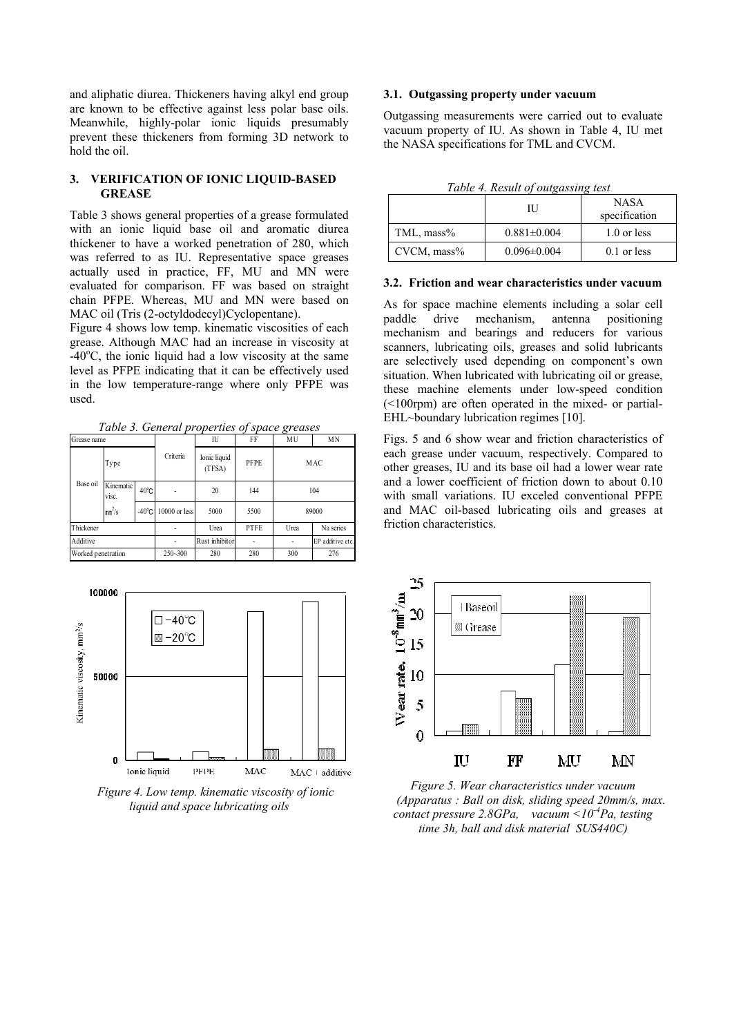and aliphatic diurea. Thickeners having alkyl end group are known to be effective against less polar base oils. Meanwhile, highly-polar ionic liquids presumably prevent these thickeners from forming 3D network to hold the oil.

## **3. VERIFICATION OF IONIC LIQUID-BASED GREASE**

Table 3 shows general properties of a grease formulated with an ionic liquid base oil and aromatic diurea thickener to have a worked penetration of 280, which was referred to as IU. Representative space greases actually used in practice, FF, MU and MN were evaluated for comparison. FF was based on straight chain PFPE. Whereas, MU and MN were based on MAC oil (Tris (2-octyldodecyl)Cyclopentane).

Figure 4 shows low temp. kinematic viscosities of each grease. Although MAC had an increase in viscosity at  $-40^{\circ}$ C, the ionic liquid had a low viscosity at the same level as PFPE indicating that it can be effectively used in the low temperature-range where only PFPE was used.

*Table 3. General properties of space greases* 

| Grease name        |                      |                 | IU             | FF                     | MU          | MN               |           |
|--------------------|----------------------|-----------------|----------------|------------------------|-------------|------------------|-----------|
|                    | Type                 |                 | Criteria       | Ionic liquid<br>(TFSA) | <b>PFPE</b> |                  | MAC       |
| Base oil           | Kinematic  <br>VISC. | $40^{\circ}$ C  |                | 20                     | 144         |                  | 104       |
|                    | $mm^2/s$             | $-40^{\circ}$ C | 10000 or less  | 5000                   | 5500        |                  | 89000     |
| Thickener          |                      |                 |                | Urea                   | <b>PTFE</b> | Urea             | Na series |
| Additive           |                      |                 | Rust inhibitor |                        |             | EP additive etc. |           |
| Worked penetration |                      | $250 - 300$     | 280            | 280                    | 300         | 276              |           |



*Figure 4. Low temp. kinematic viscosity of ionic liquid and space lubricating oils*

## **3.1. Outgassing property under vacuum**

Outgassing measurements were carried out to evaluate vacuum property of IU. As shown in Table 4, IU met the NASA specifications for TML and CVCM.

| Table 4. Result of outgassing test |  |  |  |  |  |
|------------------------------------|--|--|--|--|--|
|------------------------------------|--|--|--|--|--|

|                | Twore <i>to Kestal of Outguissing test</i><br>Ш | <b>NASA</b><br>specification |
|----------------|-------------------------------------------------|------------------------------|
| TML, mass%     | $0.881 \pm 0.004$                               | 1.0 or less                  |
| $CVCM$ , mass% | $0.096 \pm 0.004$                               | $0.1$ or less                |

#### **3.2. Friction and wear characteristics under vacuum**

As for space machine elements including a solar cell paddle drive mechanism, antenna positioning mechanism and bearings and reducers for various scanners, lubricating oils, greases and solid lubricants are selectively used depending on component's own situation. When lubricated with lubricating oil or grease, these machine elements under low-speed condition (<100rpm) are often operated in the mixed- or partial-EHL~boundary lubrication regimes [10].

Figs. 5 and 6 show wear and friction characteristics of each grease under vacuum, respectively. Compared to other greases, IU and its base oil had a lower wear rate and a lower coefficient of friction down to about 0.10 with small variations. IU exceled conventional PFPE and MAC oil-based lubricating oils and greases at friction characteristics.



*Figure 5. Wear characteristics under vacuum (Apparatus : Ball on disk, sliding speed 20mm/s, max. contact pressure 2.8GPa, vacuum <10-4Pa, testing time 3h, ball and disk material SUS440C)*